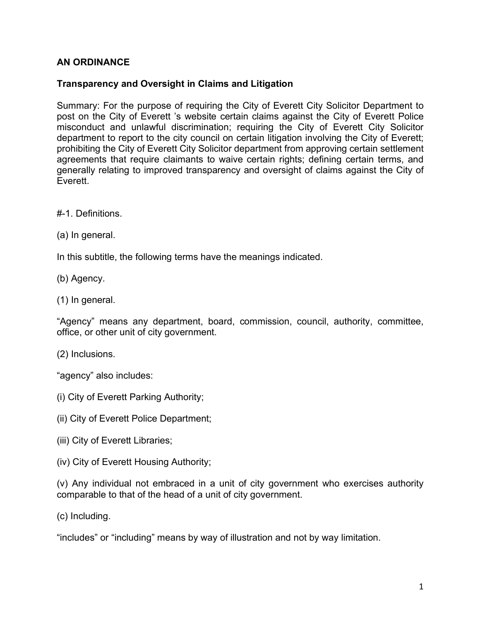## **AN ORDINANCE**

## **Transparency and Oversight in Claims and Litigation**

Summary: For the purpose of requiring the City of Everett City Solicitor Department to post on the City of Everett 's website certain claims against the City of Everett Police misconduct and unlawful discrimination; requiring the City of Everett City Solicitor department to report to the city council on certain litigation involving the City of Everett; prohibiting the City of Everett City Solicitor department from approving certain settlement agreements that require claimants to waive certain rights; defining certain terms, and generally relating to improved transparency and oversight of claims against the City of Everett.

#-1. Definitions.

(a) In general.

In this subtitle, the following terms have the meanings indicated.

(b) Agency.

(1) In general.

"Agency" means any department, board, commission, council, authority, committee, office, or other unit of city government.

(2) Inclusions.

"agency" also includes:

- (i) City of Everett Parking Authority;
- (ii) City of Everett Police Department;
- (iii) City of Everett Libraries;
- (iv) City of Everett Housing Authority;

(v) Any individual not embraced in a unit of city government who exercises authority comparable to that of the head of a unit of city government.

(c) Including.

"includes" or "including" means by way of illustration and not by way limitation.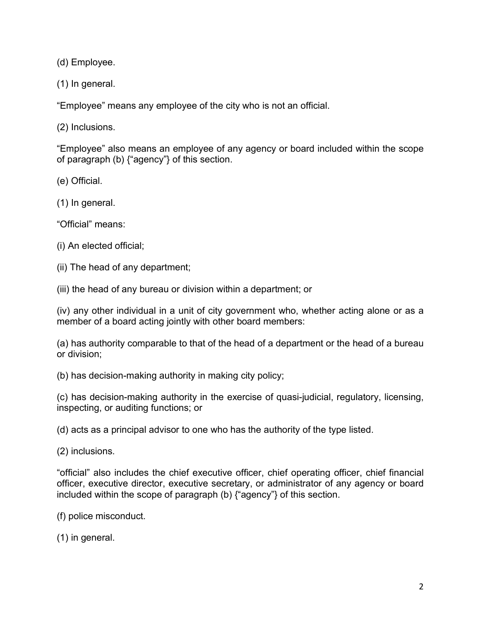(d) Employee.

(1) In general.

"Employee" means any employee of the city who is not an official.

(2) Inclusions.

"Employee" also means an employee of any agency or board included within the scope of paragraph (b) {"agency"} of this section.

(e) Official.

(1) In general.

"Official" means:

(i) An elected official;

(ii) The head of any department;

(iii) the head of any bureau or division within a department; or

(iv) any other individual in a unit of city government who, whether acting alone or as a member of a board acting jointly with other board members:

(a) has authority comparable to that of the head of a department or the head of a bureau or division;

(b) has decision-making authority in making city policy;

(c) has decision-making authority in the exercise of quasi-judicial, regulatory, licensing, inspecting, or auditing functions; or

(d) acts as a principal advisor to one who has the authority of the type listed.

(2) inclusions.

"official" also includes the chief executive officer, chief operating officer, chief financial officer, executive director, executive secretary, or administrator of any agency or board included within the scope of paragraph (b) {"agency"} of this section.

(f) police misconduct.

(1) in general.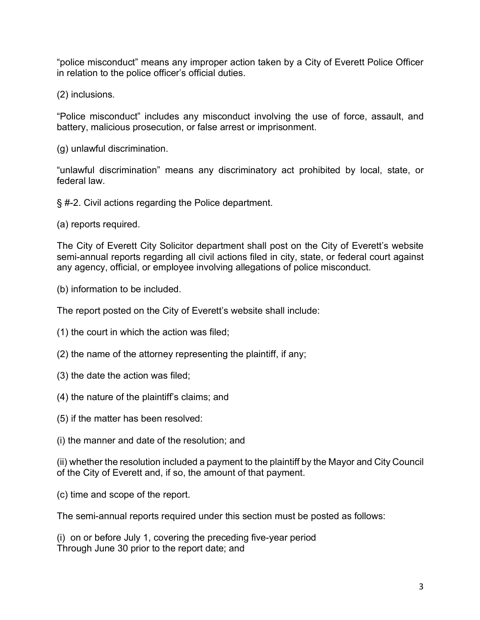"police misconduct" means any improper action taken by a City of Everett Police Officer in relation to the police officer's official duties.

(2) inclusions.

"Police misconduct" includes any misconduct involving the use of force, assault, and battery, malicious prosecution, or false arrest or imprisonment.

(g) unlawful discrimination.

"unlawful discrimination" means any discriminatory act prohibited by local, state, or federal law.

§ #-2. Civil actions regarding the Police department.

(a) reports required.

The City of Everett City Solicitor department shall post on the City of Everett's website semi-annual reports regarding all civil actions filed in city, state, or federal court against any agency, official, or employee involving allegations of police misconduct.

(b) information to be included.

The report posted on the City of Everett's website shall include:

- (1) the court in which the action was filed;
- (2) the name of the attorney representing the plaintiff, if any;
- (3) the date the action was filed;
- (4) the nature of the plaintiff's claims; and
- (5) if the matter has been resolved:
- (i) the manner and date of the resolution; and

(ii) whether the resolution included a payment to the plaintiff by the Mayor and City Council of the City of Everett and, if so, the amount of that payment.

(c) time and scope of the report.

The semi-annual reports required under this section must be posted as follows:

(i) on or before July 1, covering the preceding five-year period Through June 30 prior to the report date; and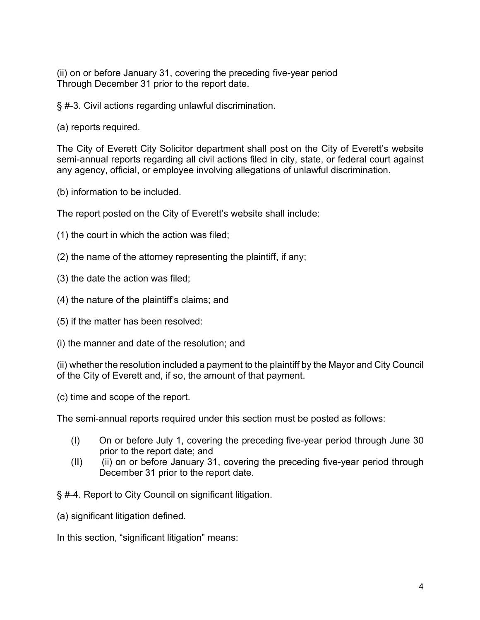(ii) on or before January 31, covering the preceding five-year period Through December 31 prior to the report date.

§ #-3. Civil actions regarding unlawful discrimination.

(a) reports required.

The City of Everett City Solicitor department shall post on the City of Everett's website semi-annual reports regarding all civil actions filed in city, state, or federal court against any agency, official, or employee involving allegations of unlawful discrimination.

(b) information to be included.

The report posted on the City of Everett's website shall include:

- (1) the court in which the action was filed;
- (2) the name of the attorney representing the plaintiff, if any;
- (3) the date the action was filed;
- (4) the nature of the plaintiff's claims; and
- (5) if the matter has been resolved:
- (i) the manner and date of the resolution; and

(ii) whether the resolution included a payment to the plaintiff by the Mayor and City Council of the City of Everett and, if so, the amount of that payment.

(c) time and scope of the report.

The semi-annual reports required under this section must be posted as follows:

- (I) On or before July 1, covering the preceding five-year period through June 30 prior to the report date; and
- (II) (ii) on or before January 31, covering the preceding five-year period through December 31 prior to the report date.

§ #-4. Report to City Council on significant litigation.

(a) significant litigation defined.

In this section, "significant litigation" means: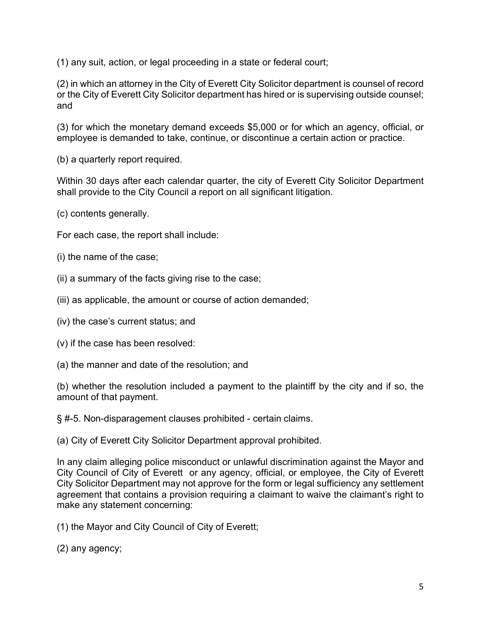(1) any suit, action, or legal proceeding in a state or federal court;

(2) in which an attorney in the City of Everett City Solicitor department is counsel of record or the City of Everett City Solicitor department has hired or is supervising outside counsel; and

(3) for which the monetary demand exceeds \$5,000 or for which an agency, official, or employee is demanded to take, continue, or discontinue a certain action or practice.

(b) a quarterly report required.

Within 30 days after each calendar quarter, the city of Everett City Solicitor Department shall provide to the City Council a report on all significant litigation.

(c) contents generally.

For each case, the report shall include:

- (i) the name of the case;
- (ii) a summary of the facts giving rise to the case;
- (iii) as applicable, the amount or course of action demanded;
- (iv) the case's current status; and
- (v) if the case has been resolved:
- (a) the manner and date of the resolution; and

(b) whether the resolution included a payment to the plaintiff by the city and if so, the amount of that payment.

§ #-5. Non-disparagement clauses prohibited - certain claims.

(a) City of Everett City Solicitor Department approval prohibited.

In any claim alleging police misconduct or unlawful discrimination against the Mayor and City Council of City of Everett or any agency, official, or employee, the City of Everett City Solicitor Department may not approve for the form or legal sufficiency any settlement agreement that contains a provision requiring a claimant to waive the claimant's right to make any statement concerning:

(1) the Mayor and City Council of City of Everett;

(2) any agency;